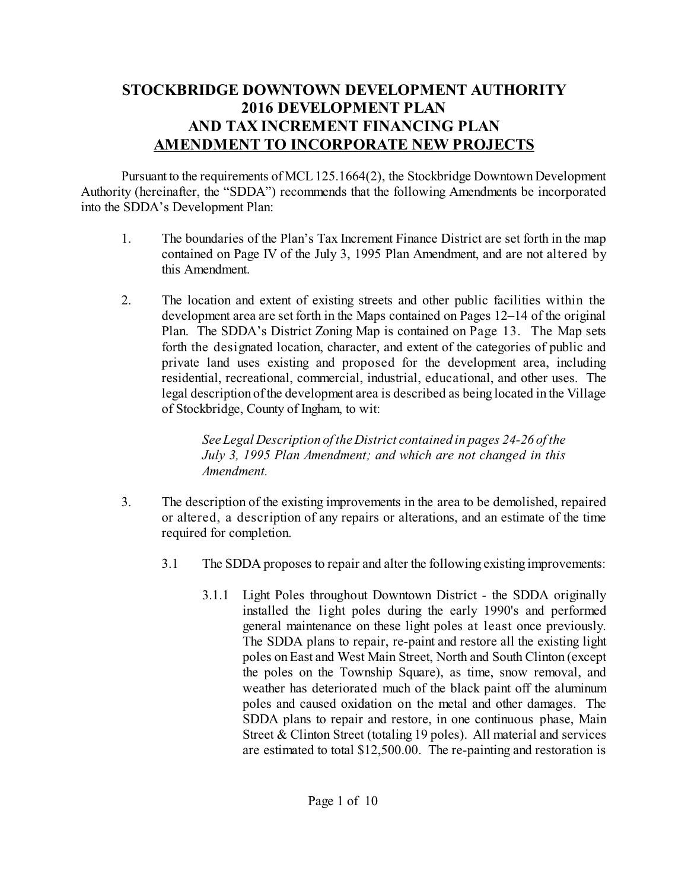## **STOCKBRIDGE DOWNTOWN DEVELOPMENT AUTHORITY 2016 DEVELOPMENT PLAN AND TAX INCREMENT FINANCING PLAN AMENDMENT TO INCORPORATE NEW PROJECTS**

Pursuant to the requirements of MCL 125.1664(2), the Stockbridge Downtown Development Authority (hereinafter, the "SDDA") recommends that the following Amendments be incorporated into the SDDA's Development Plan:

- 1. The boundaries of the Plan's Tax Increment Finance District are set forth in the map contained on Page IV of the July 3, 1995 Plan Amendment, and are not altered by this Amendment.
- 2. The location and extent of existing streets and other public facilities within the development area are set forth in the Maps contained on Pages 12–14 of the original Plan. The SDDA's District Zoning Map is contained on Page 13. The Map sets forth the designated location, character, and extent of the categories of public and private land uses existing and proposed for the development area, including residential, recreational, commercial, industrial, educational, and other uses. The legal description of the development area is described as being located in the Village of Stockbridge, County of Ingham, to wit:

*See Legal Description of the District contained in pages 24-26 of the July 3, 1995 Plan Amendment; and which are not changed in this Amendment.*

- 3. The description of the existing improvements in the area to be demolished, repaired or altered, a description of any repairs or alterations, and an estimate of the time required for completion.
	- 3.1 The SDDA proposes to repair and alter the following existing improvements:
		- 3.1.1 Light Poles throughout Downtown District the SDDA originally installed the light poles during the early 1990's and performed general maintenance on these light poles at least once previously. The SDDA plans to repair, re-paint and restore all the existing light poles onEast and West Main Street, North and South Clinton (except the poles on the Township Square), as time, snow removal, and weather has deteriorated much of the black paint off the aluminum poles and caused oxidation on the metal and other damages. The SDDA plans to repair and restore, in one continuous phase, Main Street & Clinton Street (totaling 19 poles). All material and services are estimated to total \$12,500.00. The re-painting and restoration is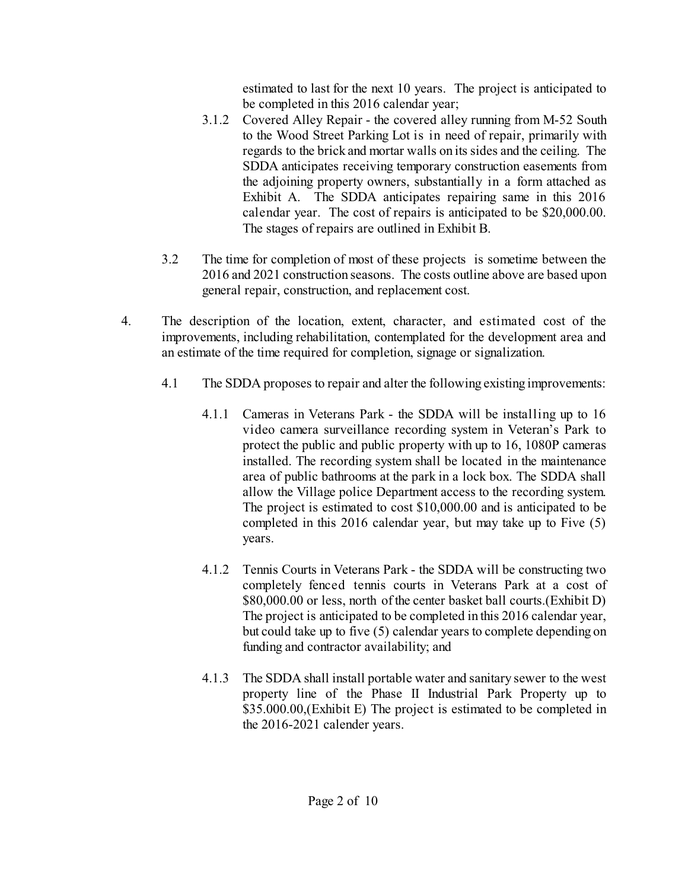estimated to last for the next 10 years. The project is anticipated to be completed in this 2016 calendar year;

- 3.1.2 Covered Alley Repair the covered alley running from M-52 South to the Wood Street Parking Lot is in need of repair, primarily with regards to the brick and mortar walls on its sides and the ceiling. The SDDA anticipates receiving temporary construction easements from the adjoining property owners, substantially in a form attached as Exhibit A. The SDDA anticipates repairing same in this 2016 calendar year. The cost of repairs is anticipated to be \$20,000.00. The stages of repairs are outlined in Exhibit B.
- 3.2 The time for completion of most of these projects is sometime between the 2016 and 2021 construction seasons. The costs outline above are based upon general repair, construction, and replacement cost.
- 4. The description of the location, extent, character, and estimated cost of the improvements, including rehabilitation, contemplated for the development area and an estimate of the time required for completion, signage or signalization.
	- 4.1 The SDDA proposes to repair and alter the following existing improvements:
		- 4.1.1 Cameras in Veterans Park the SDDA will be installing up to 16 video camera surveillance recording system in Veteran's Park to protect the public and public property with up to 16, 1080P cameras installed. The recording system shall be located in the maintenance area of public bathrooms at the park in a lock box. The SDDA shall allow the Village police Department access to the recording system. The project is estimated to cost \$10,000.00 and is anticipated to be completed in this 2016 calendar year, but may take up to Five (5) years.
		- 4.1.2 Tennis Courts in Veterans Park the SDDA will be constructing two completely fenced tennis courts in Veterans Park at a cost of \$80,000.00 or less, north of the center basket ball courts.(Exhibit D) The project is anticipated to be completed in this 2016 calendar year, but could take up to five (5) calendar years to complete depending on funding and contractor availability; and
		- 4.1.3 The SDDA shall install portable water and sanitary sewer to the west property line of the Phase II Industrial Park Property up to \$35.000.00, (Exhibit E) The project is estimated to be completed in the 2016-2021 calender years.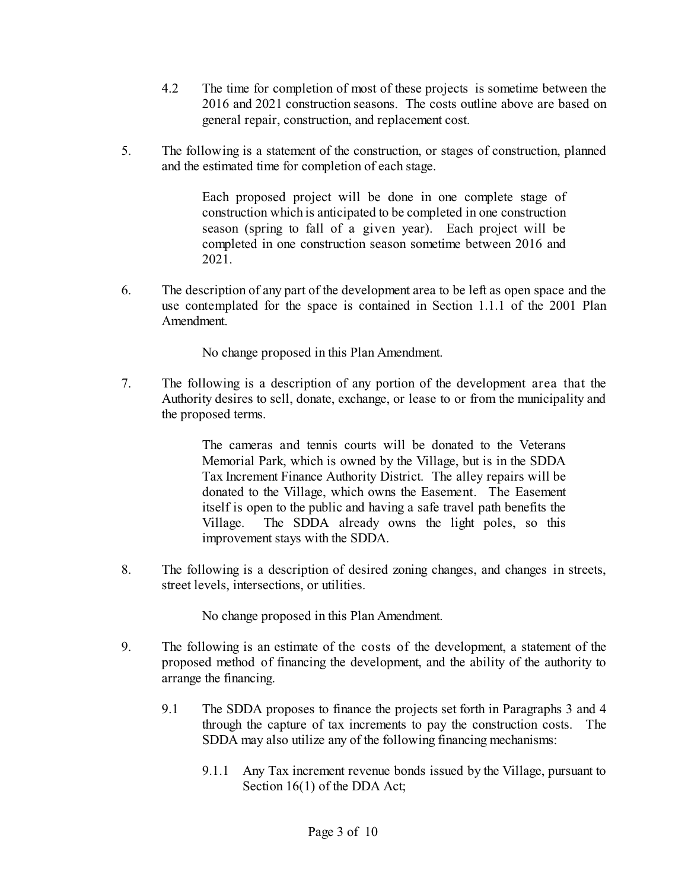- 4.2 The time for completion of most of these projects is sometime between the 2016 and 2021 construction seasons. The costs outline above are based on general repair, construction, and replacement cost.
- 5. The following is a statement of the construction, or stages of construction, planned and the estimated time for completion of each stage.

Each proposed project will be done in one complete stage of construction which is anticipated to be completed in one construction season (spring to fall of a given year). Each project will be completed in one construction season sometime between 2016 and 2021.

6. The description of any part of the development area to be left as open space and the use contemplated for the space is contained in Section 1.1.1 of the 2001 Plan Amendment.

No change proposed in this Plan Amendment.

7. The following is a description of any portion of the development area that the Authority desires to sell, donate, exchange, or lease to or from the municipality and the proposed terms.

> The cameras and tennis courts will be donated to the Veterans Memorial Park, which is owned by the Village, but is in the SDDA Tax Increment Finance Authority District. The alley repairs will be donated to the Village, which owns the Easement. The Easement itself is open to the public and having a safe travel path benefits the Village. The SDDA already owns the light poles, so this improvement stays with the SDDA.

8. The following is a description of desired zoning changes, and changes in streets, street levels, intersections, or utilities.

No change proposed in this Plan Amendment.

- 9. The following is an estimate of the costs of the development, a statement of the proposed method of financing the development, and the ability of the authority to arrange the financing.
	- 9.1 The SDDA proposes to finance the projects set forth in Paragraphs 3 and 4 through the capture of tax increments to pay the construction costs. The SDDA may also utilize any of the following financing mechanisms:
		- 9.1.1 Any Tax increment revenue bonds issued by the Village, pursuant to Section 16(1) of the DDA Act;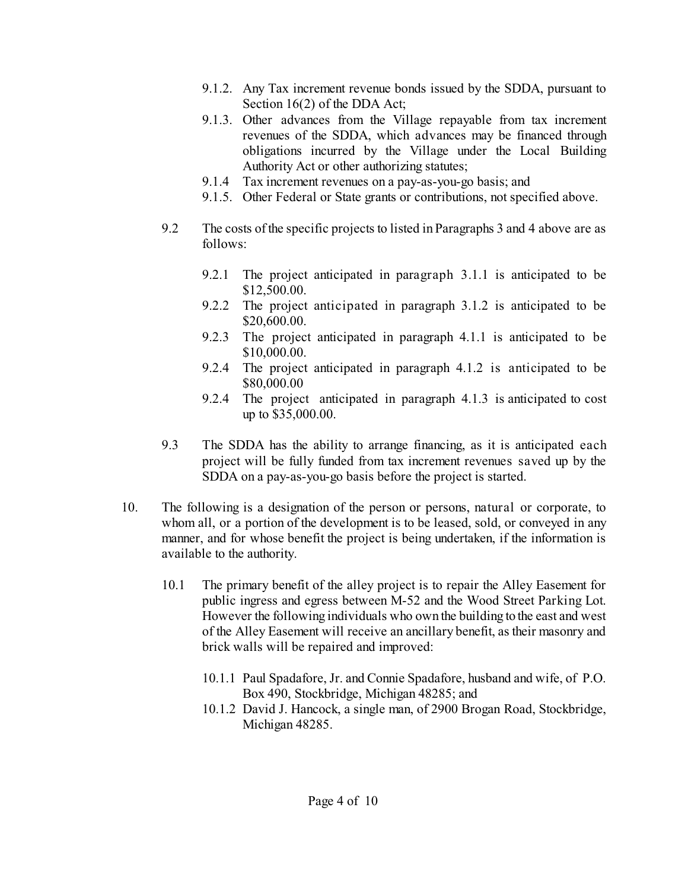- 9.1.2. Any Tax increment revenue bonds issued by the SDDA, pursuant to Section 16(2) of the DDA Act;
- 9.1.3. Other advances from the Village repayable from tax increment revenues of the SDDA, which advances may be financed through obligations incurred by the Village under the Local Building Authority Act or other authorizing statutes;
- 9.1.4 Tax increment revenues on a pay-as-you-go basis; and
- 9.1.5. Other Federal or State grants or contributions, not specified above.
- 9.2 The costs of the specific projects to listed in Paragraphs 3 and 4 above are as follows:
	- 9.2.1 The project anticipated in paragraph 3.1.1 is anticipated to be \$12,500.00.
	- 9.2.2 The project anticipated in paragraph 3.1.2 is anticipated to be \$20,600.00.
	- 9.2.3 The project anticipated in paragraph 4.1.1 is anticipated to be \$10,000.00.
	- 9.2.4 The project anticipated in paragraph 4.1.2 is anticipated to be \$80,000.00
	- 9.2.4 The project anticipated in paragraph 4.1.3 is anticipated to cost up to \$35,000.00.
- 9.3 The SDDA has the ability to arrange financing, as it is anticipated each project will be fully funded from tax increment revenues saved up by the SDDA on a pay-as-you-go basis before the project is started.
- 10. The following is a designation of the person or persons, natural or corporate, to whom all, or a portion of the development is to be leased, sold, or conveyed in any manner, and for whose benefit the project is being undertaken, if the information is available to the authority.
	- 10.1 The primary benefit of the alley project is to repair the Alley Easement for public ingress and egress between M-52 and the Wood Street Parking Lot. However the following individuals who own the building to the east and west of the Alley Easement will receive an ancillary benefit, as their masonry and brick walls will be repaired and improved:
		- 10.1.1 Paul Spadafore, Jr. and Connie Spadafore, husband and wife, of P.O. Box 490, Stockbridge, Michigan 48285; and
		- 10.1.2 David J. Hancock, a single man, of 2900 Brogan Road, Stockbridge, Michigan 48285.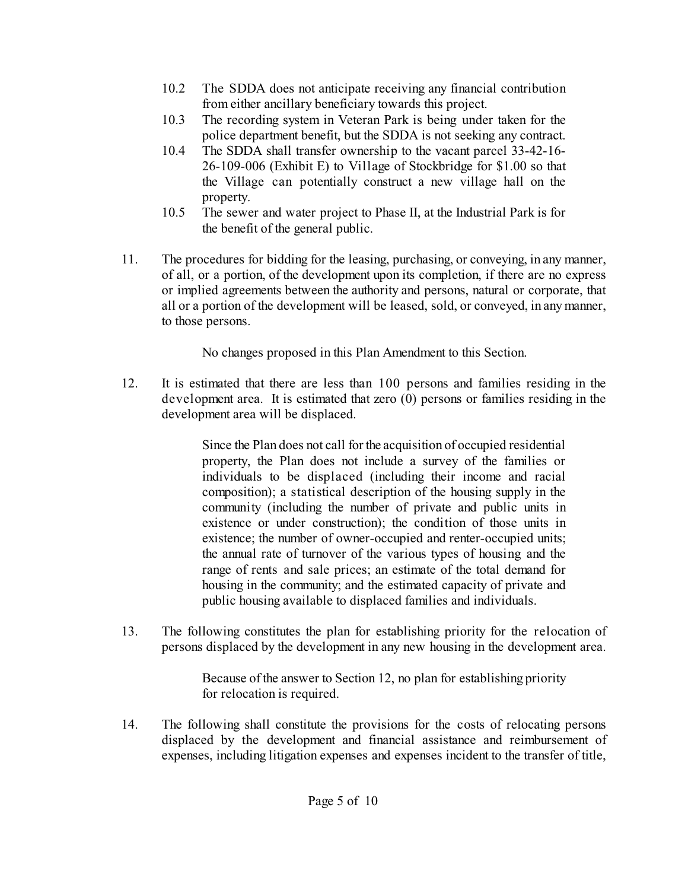- 10.2 The SDDA does not anticipate receiving any financial contribution from either ancillary beneficiary towards this project.
- 10.3 The recording system in Veteran Park is being under taken for the police department benefit, but the SDDA is not seeking any contract.
- 10.4 The SDDA shall transfer ownership to the vacant parcel 33-42-16- 26-109-006 (Exhibit E) to Village of Stockbridge for \$1.00 so that the Village can potentially construct a new village hall on the property.
- 10.5 The sewer and water project to Phase II, at the Industrial Park is for the benefit of the general public.
- 11. The procedures for bidding for the leasing, purchasing, or conveying, in any manner, of all, or a portion, of the development upon its completion, if there are no express or implied agreements between the authority and persons, natural or corporate, that all or a portion of the development will be leased, sold, or conveyed, in anymanner, to those persons.

No changes proposed in this Plan Amendment to this Section.

12. It is estimated that there are less than 100 persons and families residing in the development area. It is estimated that zero (0) persons or families residing in the development area will be displaced.

> Since the Plan does not call for the acquisition of occupied residential property, the Plan does not include a survey of the families or individuals to be displaced (including their income and racial composition); a statistical description of the housing supply in the community (including the number of private and public units in existence or under construction); the condition of those units in existence; the number of owner-occupied and renter-occupied units; the annual rate of turnover of the various types of housing and the range of rents and sale prices; an estimate of the total demand for housing in the community; and the estimated capacity of private and public housing available to displaced families and individuals.

13. The following constitutes the plan for establishing priority for the relocation of persons displaced by the development in any new housing in the development area.

> Because of the answer to Section 12, no plan for establishing priority for relocation is required.

14. The following shall constitute the provisions for the costs of relocating persons displaced by the development and financial assistance and reimbursement of expenses, including litigation expenses and expenses incident to the transfer of title,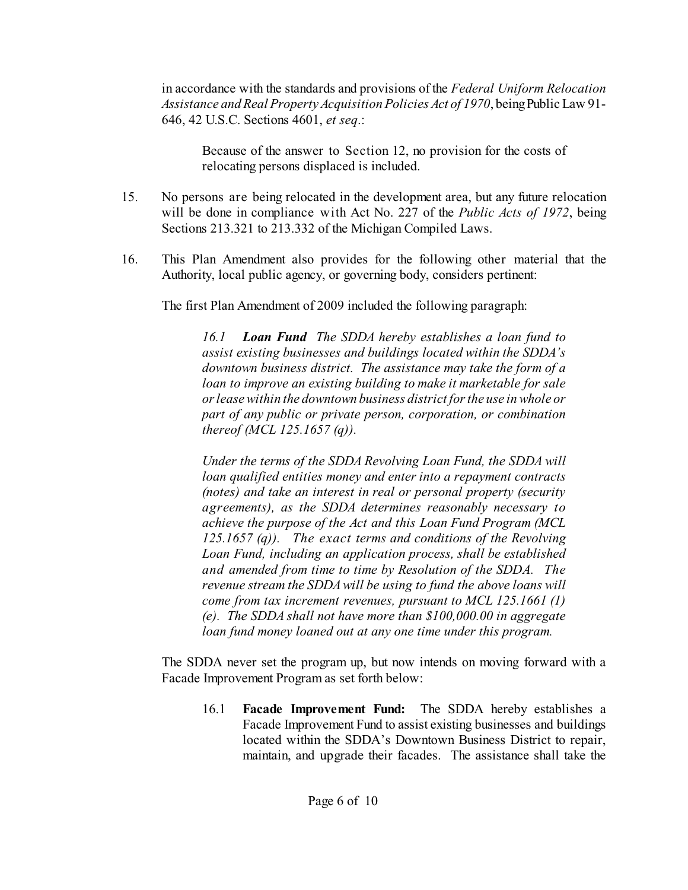in accordance with the standards and provisions of the *Federal Uniform Relocation Assistance and Real Property Acquisition Policies Act of 1970*, beingPublic Law 91- 646, 42 U.S.C. Sections 4601, *et seq*.:

Because of the answer to Section 12, no provision for the costs of relocating persons displaced is included.

- 15. No persons are being relocated in the development area, but any future relocation will be done in compliance with Act No. 227 of the *Public Acts of 1972*, being Sections 213.321 to 213.332 of the Michigan Compiled Laws.
- 16. This Plan Amendment also provides for the following other material that the Authority, local public agency, or governing body, considers pertinent:

The first Plan Amendment of 2009 included the following paragraph:

*16.1 Loan Fund The SDDA hereby establishes a loan fund to assist existing businesses and buildings located within the SDDA's downtown business district. The assistance may take the form of a loan to improve an existing building to make it marketable for sale orleasewithin the downtown business district forthe use in whole or part of any public or private person, corporation, or combination thereof (MCL 125.1657 (q)).*

*Under the terms of the SDDA Revolving Loan Fund, the SDDA will loan qualified entities money and enter into a repayment contracts (notes) and take an interest in real or personal property (security agreements), as the SDDA determines reasonably necessary to achieve the purpose of the Act and this Loan Fund Program (MCL 125.1657 (q)). The exact terms and conditions of the Revolving Loan Fund, including an application process, shall be established and amended from time to time by Resolution of the SDDA. The revenue stream the SDDAwill be using to fund the above loans will come from tax increment revenues, pursuant to MCL 125.1661 (1) (e). The SDDA shall not have more than \$100,000.00 in aggregate loan fund money loaned out at any one time under this program.*

The SDDA never set the program up, but now intends on moving forward with a Facade Improvement Program as set forth below:

16.1 **Facade Improvement Fund:** The SDDA hereby establishes a Facade Improvement Fund to assist existing businesses and buildings located within the SDDA's Downtown Business District to repair, maintain, and upgrade their facades. The assistance shall take the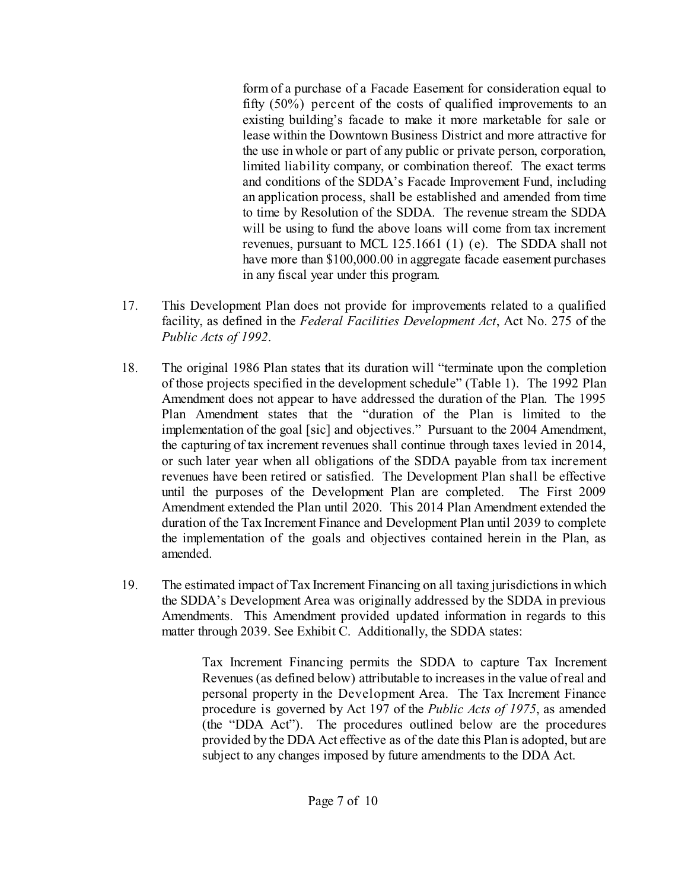form of a purchase of a Facade Easement for consideration equal to fifty (50%) percent of the costs of qualified improvements to an existing building's facade to make it more marketable for sale or lease within the Downtown Business District and more attractive for the use in whole or part of any public or private person, corporation, limited liability company, or combination thereof. The exact terms and conditions of the SDDA's Facade Improvement Fund, including an application process, shall be established and amended from time to time by Resolution of the SDDA. The revenue stream the SDDA will be using to fund the above loans will come from tax increment revenues, pursuant to MCL 125.1661 (1) (e). The SDDA shall not have more than \$100,000.00 in aggregate facade easement purchases in any fiscal year under this program.

- 17. This Development Plan does not provide for improvements related to a qualified facility, as defined in the *Federal Facilities Development Act*, Act No. 275 of the *Public Acts of 1992*.
- 18. The original 1986 Plan states that its duration will "terminate upon the completion of those projects specified in the development schedule" (Table 1). The 1992 Plan Amendment does not appear to have addressed the duration of the Plan. The 1995 Plan Amendment states that the "duration of the Plan is limited to the implementation of the goal [sic] and objectives." Pursuant to the 2004 Amendment, the capturing of tax increment revenues shall continue through taxes levied in 2014, or such later year when all obligations of the SDDA payable from tax increment revenues have been retired or satisfied. The Development Plan shall be effective until the purposes of the Development Plan are completed. The First 2009 Amendment extended the Plan until 2020. This 2014 Plan Amendment extended the duration of the Tax Increment Finance and Development Plan until 2039 to complete the implementation of the goals and objectives contained herein in the Plan, as amended.
- 19. The estimated impact of Tax Increment Financing on all taxing jurisdictions in which the SDDA's Development Area was originally addressed by the SDDA in previous Amendments. This Amendment provided updated information in regards to this matter through 2039. See Exhibit C. Additionally, the SDDA states:

Tax Increment Financing permits the SDDA to capture Tax Increment Revenues (as defined below) attributable to increases in the value of real and personal property in the Development Area. The Tax Increment Finance procedure is governed by Act 197 of the *Public Acts of 1975*, as amended (the "DDA Act"). The procedures outlined below are the procedures provided by the DDA Act effective as of the date this Plan is adopted, but are subject to any changes imposed by future amendments to the DDA Act.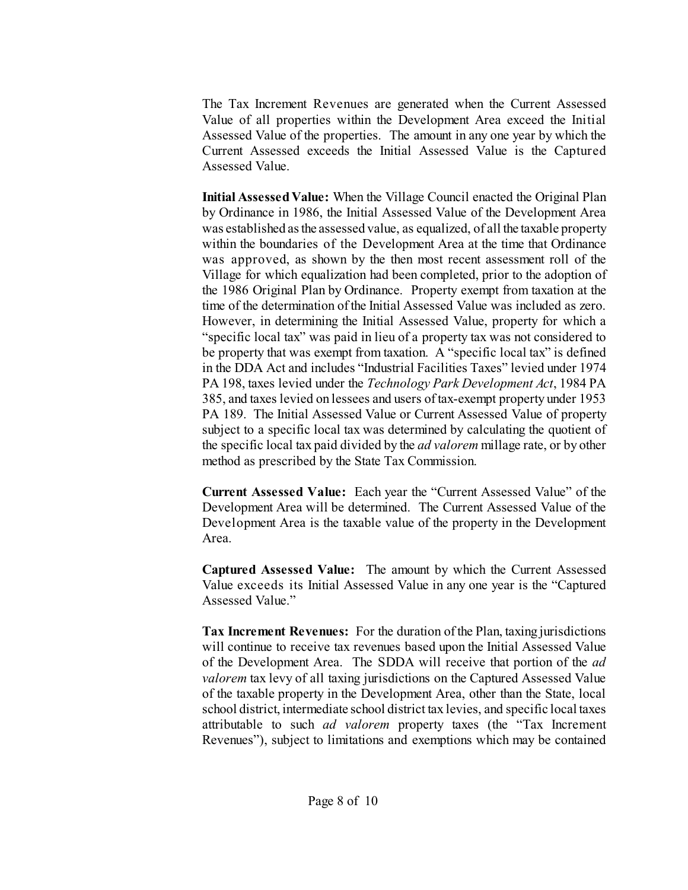The Tax Increment Revenues are generated when the Current Assessed Value of all properties within the Development Area exceed the Initial Assessed Value of the properties. The amount in any one year by which the Current Assessed exceeds the Initial Assessed Value is the Captured Assessed Value.

**Initial AssessedValue:** When the Village Council enacted the Original Plan by Ordinance in 1986, the Initial Assessed Value of the Development Area was established asthe assessed value, as equalized, of all the taxable property within the boundaries of the Development Area at the time that Ordinance was approved, as shown by the then most recent assessment roll of the Village for which equalization had been completed, prior to the adoption of the 1986 Original Plan by Ordinance. Property exempt from taxation at the time of the determination ofthe Initial Assessed Value was included as zero. However, in determining the Initial Assessed Value, property for which a "specific local tax" was paid in lieu of a property tax was not considered to be property that was exempt from taxation. A "specific local tax" is defined in the DDA Act and includes "Industrial Facilities Taxes" levied under 1974 PA 198, taxes levied under the *Technology Park Development Act*, 1984 PA 385, and taxes levied on lessees and users of tax-exempt property under 1953 PA 189. The Initial Assessed Value or Current Assessed Value of property subject to a specific local tax was determined by calculating the quotient of the specific local tax paid divided by the *ad valorem* millage rate, or by other method as prescribed by the State Tax Commission.

**Current Assessed Value:** Each year the "Current Assessed Value" of the Development Area will be determined. The Current Assessed Value of the Development Area is the taxable value of the property in the Development Area.

**Captured Assessed Value:** The amount by which the Current Assessed Value exceeds its Initial Assessed Value in any one year is the "Captured Assessed Value."

**Tax Increment Revenues:** For the duration of the Plan, taxing jurisdictions will continue to receive tax revenues based upon the Initial Assessed Value of the Development Area. The SDDA will receive that portion of the *ad valorem* tax levy of all taxing jurisdictions on the Captured Assessed Value of the taxable property in the Development Area, other than the State, local school district, intermediate school district tax levies, and specific local taxes attributable to such *ad valorem* property taxes (the "Tax Increment Revenues"), subject to limitations and exemptions which may be contained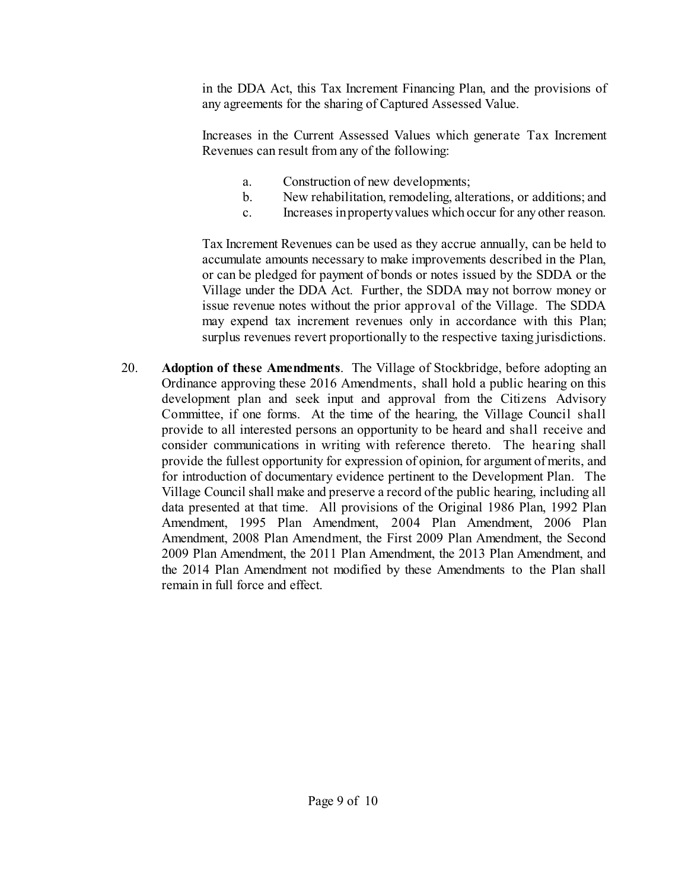in the DDA Act, this Tax Increment Financing Plan, and the provisions of any agreements for the sharing of Captured Assessed Value.

Increases in the Current Assessed Values which generate Tax Increment Revenues can result from any of the following:

- a. Construction of new developments;
- b. New rehabilitation, remodeling, alterations, or additions; and
- c. Increases inpropertyvalues which occur for any other reason.

Tax Increment Revenues can be used as they accrue annually, can be held to accumulate amounts necessary to make improvements described in the Plan, or can be pledged for payment of bonds or notes issued by the SDDA or the Village under the DDA Act. Further, the SDDA may not borrow money or issue revenue notes without the prior approval of the Village. The SDDA may expend tax increment revenues only in accordance with this Plan; surplus revenues revert proportionally to the respective taxing jurisdictions.

20. **Adoption of these Amendments**. The Village of Stockbridge, before adopting an Ordinance approving these 2016 Amendments, shall hold a public hearing on this development plan and seek input and approval from the Citizens Advisory Committee, if one forms. At the time of the hearing, the Village Council shall provide to all interested persons an opportunity to be heard and shall receive and consider communications in writing with reference thereto. The hearing shall provide the fullest opportunity for expression of opinion, for argument of merits, and for introduction of documentary evidence pertinent to the Development Plan. The Village Council shall make and preserve a record ofthe public hearing, including all data presented at that time. All provisions of the Original 1986 Plan, 1992 Plan Amendment, 1995 Plan Amendment, 2004 Plan Amendment, 2006 Plan Amendment, 2008 Plan Amendment, the First 2009 Plan Amendment, the Second 2009 Plan Amendment, the 2011 Plan Amendment, the 2013 Plan Amendment, and the 2014 Plan Amendment not modified by these Amendments to the Plan shall remain in full force and effect.